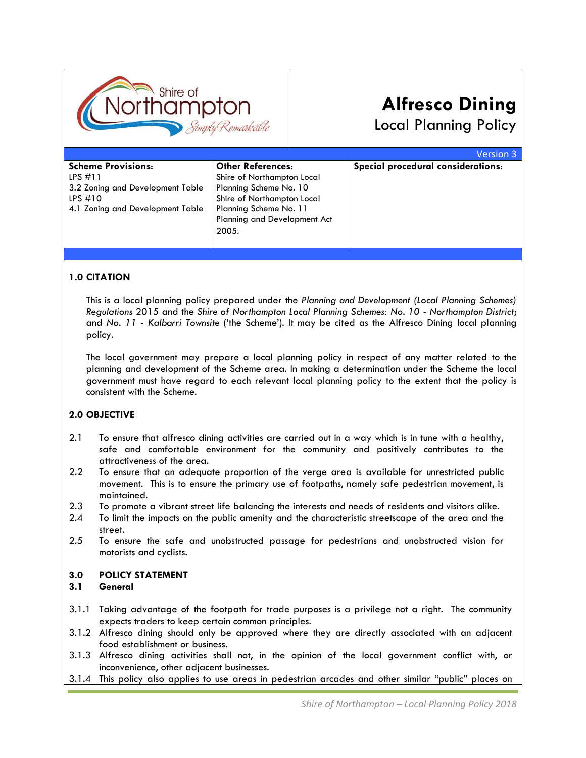

# **Alfresco Dining**

Local Planning Policy

|                                  |                                     | <b>Version 3</b>                   |
|----------------------------------|-------------------------------------|------------------------------------|
| <b>Scheme Provisions:</b>        | <b>Other References:</b>            | Special procedural considerations: |
| LPS $\#11$                       | Shire of Northampton Local          |                                    |
| 3.2 Zoning and Development Table | Planning Scheme No. 10              |                                    |
| LPS $#10$                        | Shire of Northampton Local          |                                    |
| 4.1 Zoning and Development Table | Planning Scheme No. 11              |                                    |
|                                  | <b>Planning and Development Act</b> |                                    |
|                                  | 2005.                               |                                    |
|                                  |                                     |                                    |

# **1.0 CITATION**

This is a local planning policy prepared under the *Planning and Development (Local Planning Schemes) Regulations* 2015 and the *Shire of Northampton Local Planning Schemes: No. 10 - Northampton District*; and *No. 11 - Kalbarri Townsite* ('the Scheme'). It may be cited as the Alfresco Dining local planning policy.

The local government may prepare a local planning policy in respect of any matter related to the planning and development of the Scheme area. In making a determination under the Scheme the local government must have regard to each relevant local planning policy to the extent that the policy is consistent with the Scheme.

### **2.0 OBJECTIVE**

- 2.1 To ensure that alfresco dining activities are carried out in a way which is in tune with a healthy, safe and comfortable environment for the community and positively contributes to the attractiveness of the area.
- 2.2 To ensure that an adequate proportion of the verge area is available for unrestricted public movement. This is to ensure the primary use of footpaths, namely safe pedestrian movement, is maintained.
- 2.3 To promote a vibrant street life balancing the interests and needs of residents and visitors alike.
- 2.4 To limit the impacts on the public amenity and the characteristic streetscape of the area and the street.
- 2.5 To ensure the safe and unobstructed passage for pedestrians and unobstructed vision for motorists and cyclists.

#### **3.0 POLICY STATEMENT**

#### **3.1 General**

- 3.1.1 Taking advantage of the footpath for trade purposes is a privilege not a right. The community expects traders to keep certain common principles.
- 3.1.2 Alfresco dining should only be approved where they are directly associated with an adjacent food establishment or business.
- 3.1.3 Alfresco dining activities shall not, in the opinion of the local government conflict with, or inconvenience, other adjacent businesses.
- 3.1.4 This policy also applies to use areas in pedestrian arcades and other similar "public" places on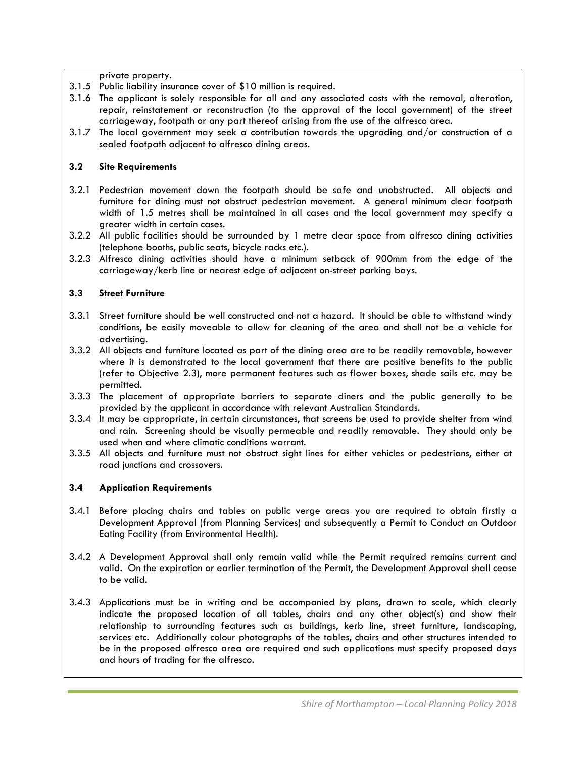private property.

- 3.1.5 Public liability insurance cover of \$10 million is required.
- 3.1.6 The applicant is solely responsible for all and any associated costs with the removal, alteration, repair, reinstatement or reconstruction (to the approval of the local government) of the street carriageway, footpath or any part thereof arising from the use of the alfresco area.
- 3.1.7 The local government may seek a contribution towards the upgrading and/or construction of a sealed footpath adjacent to alfresco dining areas.

## **3.2 Site Requirements**

- 3.2.1 Pedestrian movement down the footpath should be safe and unobstructed. All objects and furniture for dining must not obstruct pedestrian movement. A general minimum clear footpath width of 1.5 metres shall be maintained in all cases and the local government may specify a greater width in certain cases.
- 3.2.2 All public facilities should be surrounded by 1 metre clear space from alfresco dining activities (telephone booths, public seats, bicycle racks etc.).
- 3.2.3 Alfresco dining activities should have a minimum setback of 900mm from the edge of the carriageway/kerb line or nearest edge of adjacent on-street parking bays.

## **3.3 Street Furniture**

- 3.3.1 Street furniture should be well constructed and not a hazard. It should be able to withstand windy conditions, be easily moveable to allow for cleaning of the area and shall not be a vehicle for advertising.
- 3.3.2 All objects and furniture located as part of the dining area are to be readily removable, however where it is demonstrated to the local government that there are positive benefits to the public (refer to Objective 2.3), more permanent features such as flower boxes, shade sails etc. may be permitted.
- 3.3.3 The placement of appropriate barriers to separate diners and the public generally to be provided by the applicant in accordance with relevant Australian Standards.
- 3.3.4 It may be appropriate, in certain circumstances, that screens be used to provide shelter from wind and rain. Screening should be visually permeable and readily removable. They should only be used when and where climatic conditions warrant.
- 3.3.5 All objects and furniture must not obstruct sight lines for either vehicles or pedestrians, either at road junctions and crossovers.

# **3.4 Application Requirements**

- 3.4.1 Before placing chairs and tables on public verge areas you are required to obtain firstly a Development Approval (from Planning Services) and subsequently a Permit to Conduct an Outdoor Eating Facility (from Environmental Health).
- 3.4.2 A Development Approval shall only remain valid while the Permit required remains current and valid. On the expiration or earlier termination of the Permit, the Development Approval shall cease to be valid.
- 3.4.3 Applications must be in writing and be accompanied by plans, drawn to scale, which clearly indicate the proposed location of all tables, chairs and any other object(s) and show their relationship to surrounding features such as buildings, kerb line, street furniture, landscaping, services etc. Additionally colour photographs of the tables, chairs and other structures intended to be in the proposed alfresco area are required and such applications must specify proposed days and hours of trading for the alfresco.